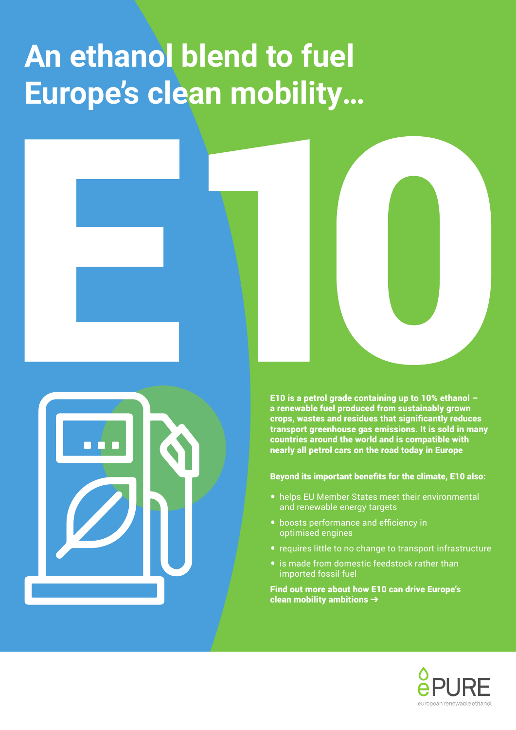# **An ethanol blend to fuel Europe's clean mobility…**





E10 is a petrol grade containing up to 10% ethanol – a renewable fuel produced from sustainably grown crops, wastes and residues that significantly reduces transport greenhouse gas emissions. It is sold in many countries around the world and is compatible with nearly all petrol cars on the road today in Europe

Beyond its important benefits for the climate, E10 also:

- helps EU Member States meet their environmental and renewable energy targets
- boosts performance and efficiency in optimised engines
- requires little to no change to transport infrastructure
- is made from domestic feedstock rather than imported fossil fuel

Find out more about how E10 can drive Europe's clean mobility ambitions  $\rightarrow$ 

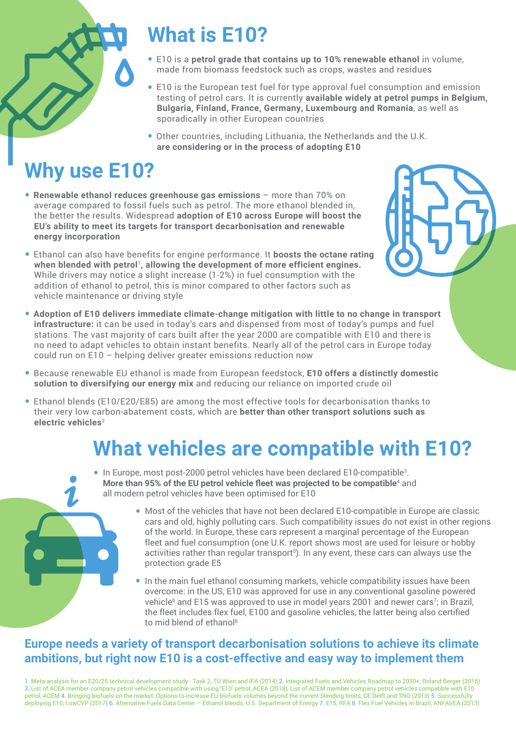

# **What is E10?**

- E10 is a **petrol grade that contains up to 10% renewable ethanol** in volume, made from biomass feedstock such as crops, wastes and residues
- E10 is the European test fuel for type approval fuel consumption and emission testing of petrol cars. It is currently **available widely at petrol pumps in Belgium, Bulgaria, Finland, France, Germany, Luxembourg and Romania**, as well as sporadically in other European countries
- Other countries, including Lithuania, the Netherlands and the U.K. **are considering or in the process of adopting E10**

# **Why use E10?**

- **Renewable ethanol reduces greenhouse gas emissions** more than 70% on average compared to fossil fuels such as petrol. The more ethanol blended in, the better the results. Widespread **adoption of E10 across Europe will boost the EU's ability to meet its targets for transport decarbonisation and renewable energy incorporation**
- Ethanol can also have benefits for engine performance. It **boosts the octane rating when blended with petrol**<sup>1</sup>**, allowing the development of more efficient engines.** While drivers may notice a slight increase (1-2%) in fuel consumption with the addition of ethanol to petrol, this is minor compared to other factors such as vehicle maintenance or driving style
- **Adoption of E10 delivers immediate climate-change mitigation with little to no change in transport infrastructure:** it can be used in today's cars and dispensed from most of today's pumps and fuel stations. The vast majority of cars built after the year 2000 are compatible with E10 and there is no need to adapt vehicles to obtain instant benefits. Nearly all of the petrol cars in Europe today could run on E10 – helping deliver greater emissions reduction now
- Because renewable EU ethanol is made from European feedstock, **E10 offers a distinctly domestic solution to diversifying our energy mix** and reducing our reliance on imported crude oil
- Ethanol blends (E10/E20/E85) are among the most effective tools for decarbonisation thanks to their very low carbon-abatement costs, which are **better than other transport solutions such as electric vehicles**<sup>2</sup>

### **What vehicles are compatible with E10?**



- In Europe, most post-2000 petrol vehicles have been declared E10-compatible<sup>3</sup>. **More than 95% of the EU petrol vehicle fleet was projected to be compatible**<sup>4</sup> and all modern petrol vehicles have been optimised for E10
	- Most of the vehicles that have not been declared E10-compatible in Europe are classic cars and old, highly polluting cars. Such compatibility issues do not exist in other regions of the world. In Europe, these cars represent a marginal percentage of the European fleet and fuel consumption (one U.K. report shows most are used for leisure or hobby activities rather than regular transport<sup>5</sup>). In any event, these cars can always use the protection grade E5
	- In the main fuel ethanol consuming markets, vehicle compatibility issues have been overcome: in the US, E10 was approved for use in any conventional gasoline powered vehicle<sup>6</sup> and E15 was approved to use in model years 2001 and newer cars<sup>7</sup>; in Brazil, the fleet includes flex fuel, E100 and gasoline vehicles, the latter being also certified to mid blend of ethanol8

### **Europe needs a variety of transport decarbonisation solutions to achieve its climate ambitions, but right now E10 is a cost-effective and easy way to implement them**

1. Meta-analysis for an E20/25 technical development study - Task 2, TU Wien and IFA (2014) 2. Integrated Fuels and Vehicles Roadmap to 2030+, Roland Berger (2016) 3. List of ACEA member company petrol vehicles compatible with using 'E10' petrol, ACEA (2018), List of ACEM member company petrol vehicles compatible with E10 petrol, ACEM 4. Bringing biofuels on the market: Options to increase EU biofuels volumes beyond the current blending limits, CE Delft and TNO (2013) 5. Successfully deploying E10, LowCVP (2017) 6. Alternative Fuels Data Center – Ethanol blends, U.S. Department of Energy 7. E15, RFA 8. Flex Fuel Vehicles in Brazil, ANFAVEA (2013)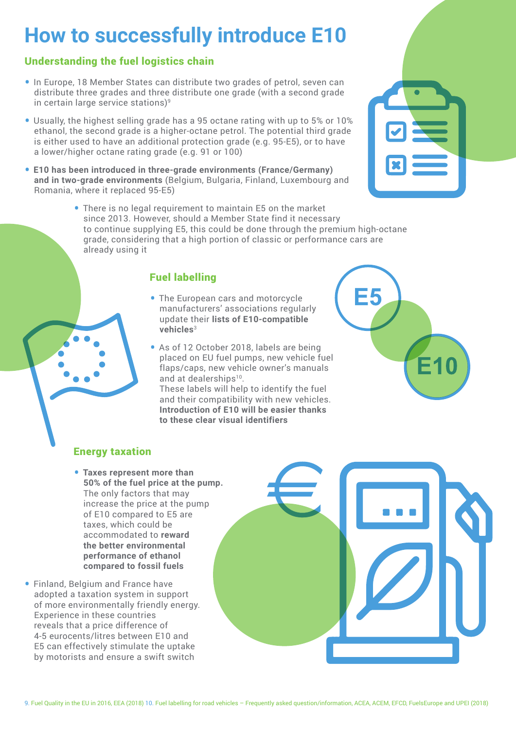### **How to successfully introduce E10**

#### Understanding the fuel logistics chain

- In Europe, 18 Member States can distribute two grades of petrol, seven can distribute three grades and three distribute one grade (with a second grade in certain large service stations)<sup>9</sup>
- Usually, the highest selling grade has a 95 octane rating with up to 5% or 10% ethanol, the second grade is a higher-octane petrol. The potential third grade is either used to have an additional protection grade (e.g. 95-E5), or to have a lower/higher octane rating grade (e.g. 91 or 100)
- **E10 has been introduced in three-grade environments (France/Germany) and in two-grade environments** (Belgium, Bulgaria, Finland, Luxembourg and Romania, where it replaced 95-E5)
	- There is no legal requirement to maintain E5 on the market since 2013. However, should a Member State find it necessary to continue supplying E5, this could be done through the premium high-octane grade, considering that a high portion of classic or performance cars are already using it

### Fuel labelling

- The European cars and motorcycle manufacturers' associations regularly update their **lists of E10-compatible vehicles**<sup>3</sup>
- As of 12 October 2018, labels are being placed on EU fuel pumps, new vehicle fuel flaps/caps, new vehicle owner's manuals and at dealerships<sup>10</sup>.

These labels will help to identify the fuel and their compatibility with new vehicles. **Introduction of E10 will be easier thanks to these clear visual identifiers**



### Energy taxation

- **Taxes represent more than 50% of the fuel price at the pump.**  The only factors that may increase the price at the pump of E10 compared to E5 are taxes, which could be accommodated to **reward the better environmental performance of ethanol compared to fossil fuels**
- Finland, Belgium and France have adopted a taxation system in support of more environmentally friendly energy. Experience in these countries reveals that a price difference of 4-5 eurocents/litres between E10 and E5 can effectively stimulate the uptake by motorists and ensure a swift switch